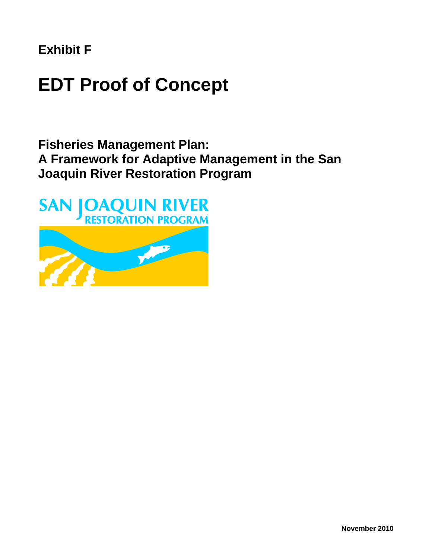**Exhibit F**

# **EDT Proof of Concept**

**Fisheries Management Plan: A Framework for Adaptive Management in the San Joaquin River Restoration Program**

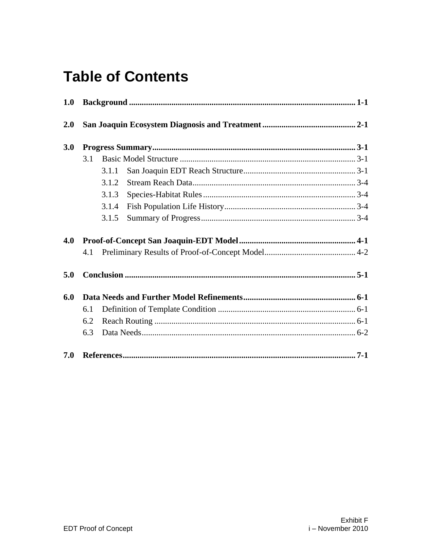# **Table of Contents**

| 1.0 |     |       |  |
|-----|-----|-------|--|
| 2.0 |     |       |  |
| 3.0 |     |       |  |
|     | 3.1 |       |  |
|     |     | 3.1.1 |  |
|     |     | 3.1.2 |  |
|     |     | 3.1.3 |  |
|     |     | 3.1.4 |  |
|     |     | 3.1.5 |  |
| 4.0 |     |       |  |
|     | 4.1 |       |  |
| 5.0 |     |       |  |
| 6.0 |     |       |  |
|     | 6.1 |       |  |
|     | 6.2 |       |  |
|     | 6.3 |       |  |
| 7.0 |     |       |  |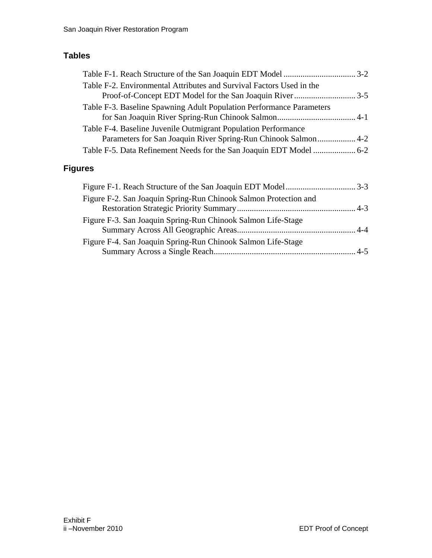### **Tables**

| Table F-2. Environmental Attributes and Survival Factors Used in the                                                             |  |
|----------------------------------------------------------------------------------------------------------------------------------|--|
| Table F-3. Baseline Spawning Adult Population Performance Parameters                                                             |  |
| Table F-4. Baseline Juvenile Outmigrant Population Performance<br>Parameters for San Joaquin River Spring-Run Chinook Salmon 4-2 |  |
|                                                                                                                                  |  |

### **Figures**

| Figure F-2. San Joaquin Spring-Run Chinook Salmon Protection and |  |
|------------------------------------------------------------------|--|
|                                                                  |  |
| Figure F-3. San Joaquin Spring-Run Chinook Salmon Life-Stage     |  |
|                                                                  |  |
| Figure F-4. San Joaquin Spring-Run Chinook Salmon Life-Stage     |  |
|                                                                  |  |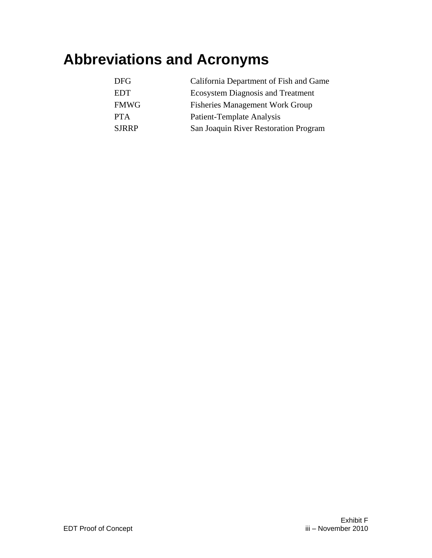# **Abbreviations and Acronyms**

| DFG.         | California Department of Fish and Game   |
|--------------|------------------------------------------|
| <b>EDT</b>   | <b>Ecosystem Diagnosis and Treatment</b> |
| <b>FMWG</b>  | <b>Fisheries Management Work Group</b>   |
| <b>PTA</b>   | <b>Patient-Template Analysis</b>         |
| <b>SJRRP</b> | San Joaquin River Restoration Program    |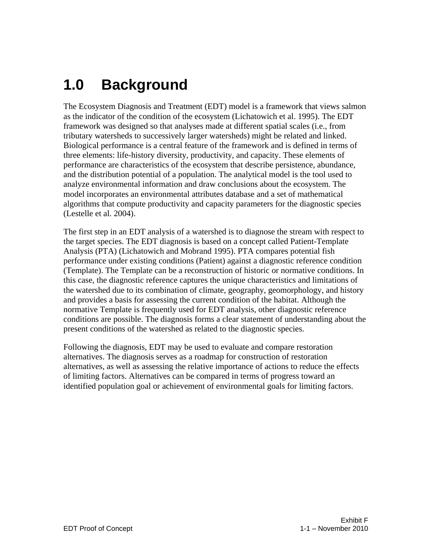# <span id="page-6-0"></span>**1.0 Background**

The Ecosystem Diagnosis and Treatment (EDT) model is a framework that views salmon as the indicator of the condition of the ecosystem (Lichatowich et al. 1995). The EDT framework was designed so that analyses made at different spatial scales (i.e., from tributary watersheds to successively larger watersheds) might be related and linked. Biological performance is a central feature of the framework and is defined in terms of three elements: life-history diversity, productivity, and capacity. These elements of performance are characteristics of the ecosystem that describe persistence, abundance, and the distribution potential of a population. The analytical model is the tool used to analyze environmental information and draw conclusions about the ecosystem. The model incorporates an environmental attributes database and a set of mathematical algorithms that compute productivity and capacity parameters for the diagnostic species (Lestelle et al. 2004).

The first step in an EDT analysis of a watershed is to diagnose the stream with respect to the target species. The EDT diagnosis is based on a concept called Patient-Template Analysis (PTA) (Lichatowich and Mobrand 1995). PTA compares potential fish performance under existing conditions (Patient) against a diagnostic reference condition (Template). The Template can be a reconstruction of historic or normative conditions. In this case, the diagnostic reference captures the unique characteristics and limitations of the watershed due to its combination of climate, geography, geomorphology, and history and provides a basis for assessing the current condition of the habitat. Although the normative Template is frequently used for EDT analysis, other diagnostic reference conditions are possible. The diagnosis forms a clear statement of understanding about the present conditions of the watershed as related to the diagnostic species.

Following the diagnosis, EDT may be used to evaluate and compare restoration alternatives. The diagnosis serves as a roadmap for construction of restoration alternatives, as well as assessing the relative importance of actions to reduce the effects of limiting factors. Alternatives can be compared in terms of progress toward an identified population goal or achievement of environmental goals for limiting factors.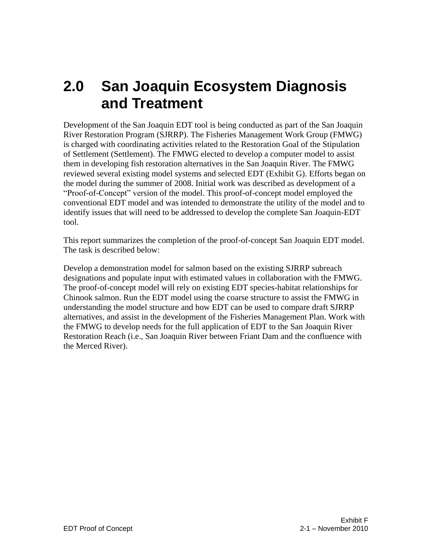## <span id="page-8-0"></span>**2.0 San Joaquin Ecosystem Diagnosis and Treatment**

Development of the San Joaquin EDT tool is being conducted as part of the San Joaquin River Restoration Program (SJRRP). The Fisheries Management Work Group (FMWG) is charged with coordinating activities related to the Restoration Goal of the Stipulation of Settlement (Settlement). The FMWG elected to develop a computer model to assist them in developing fish restoration alternatives in the San Joaquin River. The FMWG reviewed several existing model systems and selected EDT (Exhibit G). Efforts began on the model during the summer of 2008. Initial work was described as development of a "Proof-of-Concept" version of the model. This proof-of-concept model employed the conventional EDT model and was intended to demonstrate the utility of the model and to identify issues that will need to be addressed to develop the complete San Joaquin-EDT tool.

This report summarizes the completion of the proof-of-concept San Joaquin EDT model. The task is described below:

Develop a demonstration model for salmon based on the existing SJRRP subreach designations and populate input with estimated values in collaboration with the FMWG. The proof-of-concept model will rely on existing EDT species-habitat relationships for Chinook salmon. Run the EDT model using the coarse structure to assist the FMWG in understanding the model structure and how EDT can be used to compare draft SJRRP alternatives, and assist in the development of the Fisheries Management Plan. Work with the FMWG to develop needs for the full application of EDT to the San Joaquin River Restoration Reach (i.e., San Joaquin River between Friant Dam and the confluence with the Merced River).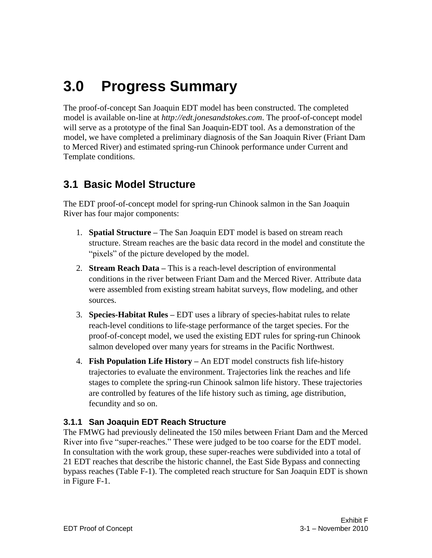# <span id="page-10-0"></span>**3.0 Progress Summary**

The proof-of-concept San Joaquin EDT model has been constructed. The completed model is available on-line at *http://edt.jonesandstokes.com*. The proof-of-concept model will serve as a prototype of the final San Joaquin-EDT tool. As a demonstration of the model, we have completed a preliminary diagnosis of the San Joaquin River (Friant Dam to Merced River) and estimated spring-run Chinook performance under Current and Template conditions.

### <span id="page-10-1"></span>**3.1 Basic Model Structure**

The EDT proof-of-concept model for spring-run Chinook salmon in the San Joaquin River has four major components:

- 1. **Spatial Structure –** The San Joaquin EDT model is based on stream reach structure. Stream reaches are the basic data record in the model and constitute the "pixels" of the picture developed by the model.
- 2. **Stream Reach Data –** This is a reach-level description of environmental conditions in the river between Friant Dam and the Merced River. Attribute data were assembled from existing stream habitat surveys, flow modeling, and other sources.
- 3. **Species-Habitat Rules –** EDT uses a library of species-habitat rules to relate reach-level conditions to life-stage performance of the target species. For the proof-of-concept model, we used the existing EDT rules for spring-run Chinook salmon developed over many years for streams in the Pacific Northwest.
- 4. **Fish Population Life History –** An EDT model constructs fish life-history trajectories to evaluate the environment. Trajectories link the reaches and life stages to complete the spring-run Chinook salmon life history. These trajectories are controlled by features of the life history such as timing, age distribution, fecundity and so on.

### <span id="page-10-2"></span>**3.1.1 San Joaquin EDT Reach Structure**

The FMWG had previously delineated the 150 miles between Friant Dam and the Merced River into five "super-reaches." These were judged to be too coarse for the EDT model. In consultation with the work group, these super-reaches were subdivided into a total of 21 EDT reaches that describe the historic channel, the East Side Bypass and connecting bypass reaches (Table F-1). The completed reach structure for San Joaquin EDT is shown in Figure F-1.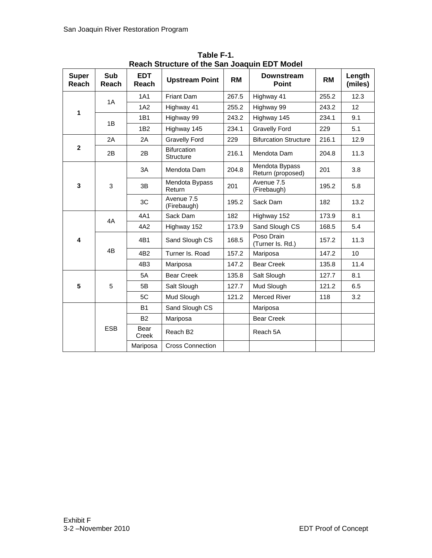<span id="page-11-0"></span>

|                         |                     |                     | Neach Structure of the Sail Joaquin LDT MOUSE |           |                                     |           |                   |
|-------------------------|---------------------|---------------------|-----------------------------------------------|-----------|-------------------------------------|-----------|-------------------|
| <b>Super</b><br>Reach   | <b>Sub</b><br>Reach | <b>EDT</b><br>Reach | <b>Upstream Point</b>                         | <b>RM</b> | <b>Downstream</b><br><b>Point</b>   | <b>RM</b> | Length<br>(miles) |
|                         | 1A                  | 1A1                 | Friant Dam                                    | 267.5     | Highway 41                          | 255.2     | 12.3              |
| 1                       |                     | 1A2                 | Highway 41                                    | 255.2     | Highway 99                          | 243.2     | 12                |
|                         | 1B                  | 1B1                 | Highway 99                                    | 243.2     | Highway 145                         | 234.1     | 9.1               |
|                         |                     | 1 <sub>B2</sub>     | Highway 145                                   | 234.1     | <b>Gravelly Ford</b>                | 229       | 5.1               |
|                         | 2A                  | 2A                  | <b>Gravelly Ford</b>                          | 229       | <b>Bifurcation Structure</b>        | 216.1     | 12.9              |
| $\mathbf{2}$            | 2В                  | 2B                  | <b>Bifurcation</b><br><b>Structure</b>        | 216.1     | Mendota Dam                         | 204.8     | 11.3              |
|                         |                     | 3A                  | Mendota Dam                                   | 204.8     | Mendota Bypass<br>Return (proposed) | 201       | 3.8               |
| $\mathbf{3}$            | 3                   | 3B                  | Mendota Bypass<br>Return                      | 201       | Avenue 7.5<br>(Firebaugh)           | 195.2     | 5.8               |
|                         |                     | 3C                  | Avenue 7.5<br>(Firebaugh)                     | 195.2     | Sack Dam                            | 182       | 13.2              |
|                         | 4A                  | 4A1                 | Sack Dam                                      | 182       | Highway 152                         | 173.9     | 8.1               |
|                         |                     | 4A2                 | Highway 152                                   | 173.9     | Sand Slough CS                      | 168.5     | 5.4               |
| $\overline{\mathbf{4}}$ |                     | 4B1                 | Sand Slough CS                                | 168.5     | Poso Drain<br>(Turner Is. Rd.)      | 157.2     | 11.3              |
|                         | 4B                  | 4B <sub>2</sub>     | Turner Is, Road                               | 157.2     | Mariposa                            | 147.2     | 10                |
|                         |                     | 4B3                 | Mariposa                                      | 147.2     | <b>Bear Creek</b>                   | 135.8     | 11.4              |
|                         |                     | 5A                  | <b>Bear Creek</b>                             | 135.8     | Salt Slough                         | 127.7     | 8.1               |
| 5                       | 5                   | 5B                  | Salt Slough                                   | 127.7     | Mud Slough                          | 121.2     | 6.5               |
|                         |                     | 5C                  | Mud Slough                                    | 121.2     | <b>Merced River</b>                 | 118       | 3.2               |
|                         |                     | <b>B1</b>           | Sand Slough CS                                |           | Mariposa                            |           |                   |
|                         |                     | <b>B2</b>           | Mariposa                                      |           | <b>Bear Creek</b>                   |           |                   |
|                         | <b>ESB</b>          | Bear<br>Creek       | Reach B <sub>2</sub>                          |           | Reach 5A                            |           |                   |
|                         |                     | Mariposa            | <b>Cross Connection</b>                       |           |                                     |           |                   |

**Table F-1. Reach Structure of the San Joaquin EDT Model**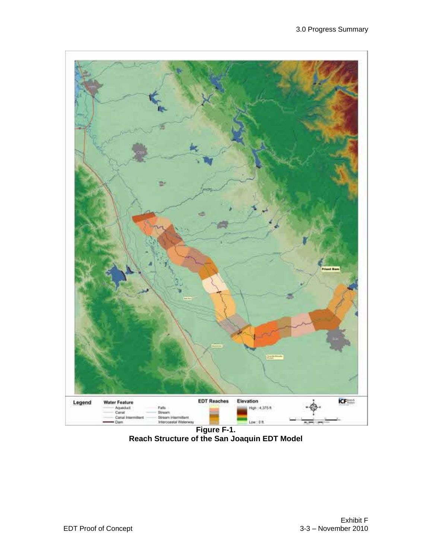<span id="page-12-0"></span>

**Reach Structure of the San Joaquin EDT Model**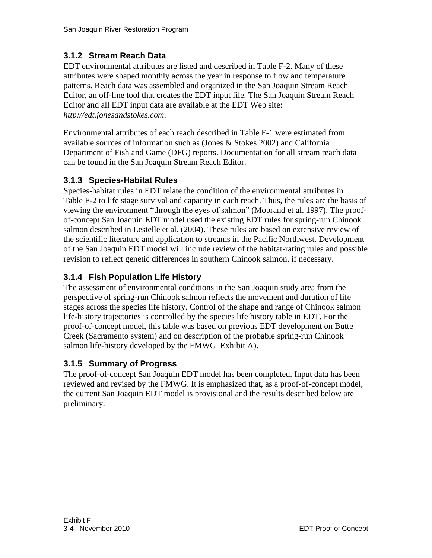### <span id="page-13-0"></span>**3.1.2 Stream Reach Data**

EDT environmental attributes are listed and described in Table F-2. Many of these attributes were shaped monthly across the year in response to flow and temperature patterns. Reach data was assembled and organized in the San Joaquin Stream Reach Editor, an off-line tool that creates the EDT input file. The San Joaquin Stream Reach Editor and all EDT input data are available at the EDT Web site: *[http://edt.jonesandstokes.com](http://edt.jonesandstokes.com/)*.

Environmental attributes of each reach described in Table F-1 were estimated from available sources of information such as (Jones & Stokes 2002) and California Department of Fish and Game (DFG) reports. Documentation for all stream reach data can be found in the San Joaquin Stream Reach Editor.

#### <span id="page-13-1"></span>**3.1.3 Species-Habitat Rules**

Species-habitat rules in EDT relate the condition of the environmental attributes in Table F-2 to life stage survival and capacity in each reach. Thus, the rules are the basis of viewing the environment "through the eyes of salmon" (Mobrand et al. 1997). The proofof-concept San Joaquin EDT model used the existing EDT rules for spring-run Chinook salmon described in Lestelle et al. (2004). These rules are based on extensive review of the scientific literature and application to streams in the Pacific Northwest. Development of the San Joaquin EDT model will include review of the habitat-rating rules and possible revision to reflect genetic differences in southern Chinook salmon, if necessary.

### <span id="page-13-2"></span>**3.1.4 Fish Population Life History**

The assessment of environmental conditions in the San Joaquin study area from the perspective of spring-run Chinook salmon reflects the movement and duration of life stages across the species life history. Control of the shape and range of Chinook salmon life-history trajectories is controlled by the species life history table in EDT. For the proof-of-concept model, this table was based on previous EDT development on Butte Creek (Sacramento system) and on description of the probable spring-run Chinook salmon life-history developed by the FMWG Exhibit A).

#### <span id="page-13-3"></span>**3.1.5 Summary of Progress**

The proof-of-concept San Joaquin EDT model has been completed. Input data has been reviewed and revised by the FMWG. It is emphasized that, as a proof-of-concept model, the current San Joaquin EDT model is provisional and the results described below are preliminary.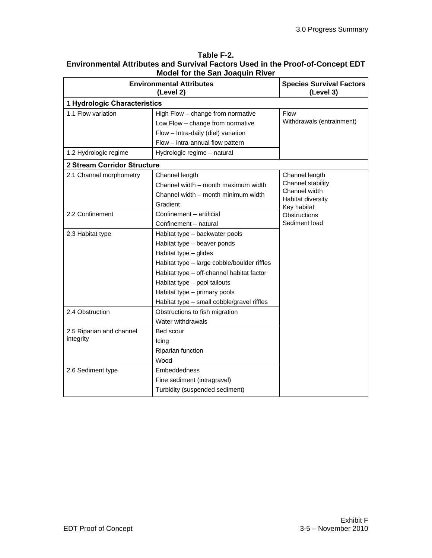|                              | <b>Environmental Attributes</b><br>(Level 2) | <b>Species Survival Factors</b><br>(Level 3) |
|------------------------------|----------------------------------------------|----------------------------------------------|
| 1 Hydrologic Characteristics |                                              |                                              |
| 1.1 Flow variation           | High Flow - change from normative            | <b>Flow</b>                                  |
|                              | Low Flow - change from normative             | Withdrawals (entrainment)                    |
|                              | Flow - Intra-daily (diel) variation          |                                              |
|                              | Flow - intra-annual flow pattern             |                                              |
| 1.2 Hydrologic regime        | Hydrologic regime - natural                  |                                              |
| 2 Stream Corridor Structure  |                                              |                                              |
| 2.1 Channel morphometry      | Channel length                               | Channel length                               |
|                              | Channel width - month maximum width          | Channel stability                            |
|                              | Channel width - month minimum width          | Channel width<br>Habitat diversity           |
|                              | Gradient                                     | Key habitat                                  |
| 2.2 Confinement              | Confinement - artificial                     | Obstructions                                 |
|                              | Confinement - natural                        | Sediment load                                |
| 2.3 Habitat type             | Habitat type - backwater pools               |                                              |
|                              | Habitat type - beaver ponds                  |                                              |
|                              | Habitat type - glides                        |                                              |
|                              | Habitat type - large cobble/boulder riffles  |                                              |
|                              | Habitat type - off-channel habitat factor    |                                              |
|                              | Habitat type - pool tailouts                 |                                              |
|                              | Habitat type - primary pools                 |                                              |
|                              | Habitat type - small cobble/gravel riffles   |                                              |
| 2.4 Obstruction              | Obstructions to fish migration               |                                              |
|                              | Water withdrawals                            |                                              |
| 2.5 Riparian and channel     | Bed scour                                    |                                              |
| integrity                    | Icing                                        |                                              |
|                              | Riparian function                            |                                              |
|                              | Wood                                         |                                              |
| 2.6 Sediment type            | Embeddedness                                 |                                              |
|                              | Fine sediment (intragravel)                  |                                              |
|                              | Turbidity (suspended sediment)               |                                              |

#### <span id="page-14-0"></span>**Table F-2. Environmental Attributes and Survival Factors Used in the Proof-of-Concept EDT Model for the San Joaquin River**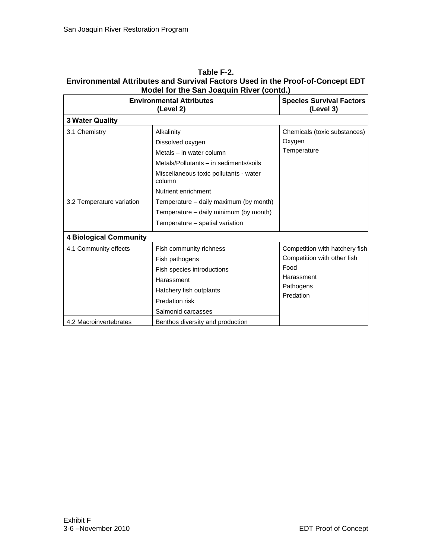| <b>Environmental Attributes</b><br>(Level 2) |                                                                                                                                                                                 | <b>Species Survival Factors</b><br>(Level 3)                                                                  |
|----------------------------------------------|---------------------------------------------------------------------------------------------------------------------------------------------------------------------------------|---------------------------------------------------------------------------------------------------------------|
| <b>3 Water Quality</b>                       |                                                                                                                                                                                 |                                                                                                               |
| 3.1 Chemistry                                | Alkalinity<br>Dissolved oxygen<br>Metals - in water column<br>Metals/Pollutants - in sediments/soils<br>Miscellaneous toxic pollutants - water<br>column<br>Nutrient enrichment | Chemicals (toxic substances)<br>Oxygen<br>Temperature                                                         |
| 3.2 Temperature variation                    | Temperature – daily maximum (by month)<br>Temperature - daily minimum (by month)<br>Temperature - spatial variation                                                             |                                                                                                               |
| <b>4 Biological Community</b>                |                                                                                                                                                                                 |                                                                                                               |
| 4.1 Community effects                        | Fish community richness<br>Fish pathogens<br>Fish species introductions<br>Harassment<br>Hatchery fish outplants<br>Predation risk<br>Salmonid carcasses                        | Competition with hatchery fish<br>Competition with other fish<br>Food<br>Harassment<br>Pathogens<br>Predation |
| 4.2 Macroinvertebrates                       | Benthos diversity and production                                                                                                                                                |                                                                                                               |

#### **Table F-2. Environmental Attributes and Survival Factors Used in the Proof-of-Concept EDT Model for the San Joaquin River (contd.)**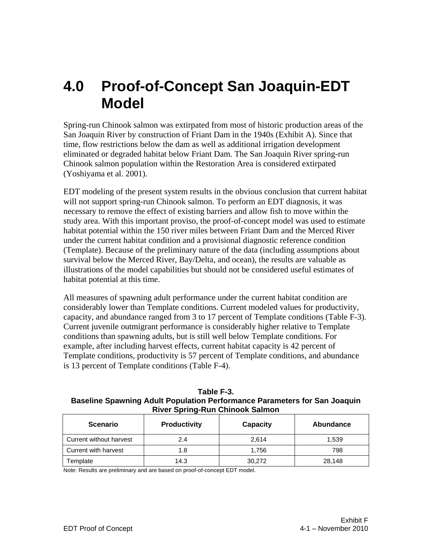## <span id="page-16-0"></span>**4.0 Proof-of-Concept San Joaquin-EDT Model**

Spring-run Chinook salmon was extirpated from most of historic production areas of the San Joaquin River by construction of Friant Dam in the 1940s (Exhibit A). Since that time, flow restrictions below the dam as well as additional irrigation development eliminated or degraded habitat below Friant Dam. The San Joaquin River spring-run Chinook salmon population within the Restoration Area is considered extirpated (Yoshiyama et al. 2001).

EDT modeling of the present system results in the obvious conclusion that current habitat will not support spring-run Chinook salmon. To perform an EDT diagnosis, it was necessary to remove the effect of existing barriers and allow fish to move within the study area. With this important proviso, the proof-of-concept model was used to estimate habitat potential within the 150 river miles between Friant Dam and the Merced River under the current habitat condition and a provisional diagnostic reference condition (Template). Because of the preliminary nature of the data (including assumptions about survival below the Merced River, Bay/Delta, and ocean), the results are valuable as illustrations of the model capabilities but should not be considered useful estimates of habitat potential at this time.

All measures of spawning adult performance under the current habitat condition are considerably lower than Template conditions. Current modeled values for productivity, capacity, and abundance ranged from 3 to 17 percent of Template conditions (Table F-3). Current juvenile outmigrant performance is considerably higher relative to Template conditions than spawning adults, but is still well below Template conditions. For example, after including harvest effects, current habitat capacity is 42 percent of Template conditions, productivity is 57 percent of Template conditions, and abundance is 13 percent of Template conditions (Table F-4).

<span id="page-16-1"></span>

| Table F-3.                                                                |
|---------------------------------------------------------------------------|
| Baseline Spawning Adult Population Performance Parameters for San Joaquin |
| <b>River Spring-Run Chinook Salmon</b>                                    |

| <b>Scenario</b>         | <b>Productivity</b> | Capacity | Abundance |
|-------------------------|---------------------|----------|-----------|
| Current without harvest | 2.4                 | 2.614    | 1,539     |
| Current with harvest    | 1.8                 | 1.756    | 798       |
| Template                | 14.3                | 30,272   | 28,148    |

Note: Results are preliminary and are based on proof-of-concept EDT model.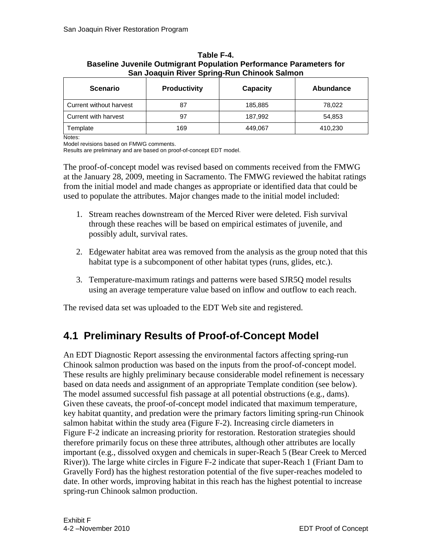| <b>Scenario</b>         | <b>Productivity</b> | Capacity | Abundance |
|-------------------------|---------------------|----------|-----------|
| Current without harvest | 87                  | 185,885  | 78,022    |
| Current with harvest    | 97                  | 187,992  | 54,853    |
| Template                | 169                 | 449,067  | 410,230   |

#### <span id="page-17-1"></span>**Table F-4. Baseline Juvenile Outmigrant Population Performance Parameters for San Joaquin River Spring-Run Chinook Salmon**

Notes:

Model revisions based on FMWG comments.

Results are preliminary and are based on proof-of-concept EDT model.

The proof-of-concept model was revised based on comments received from the FMWG at the January 28, 2009, meeting in Sacramento. The FMWG reviewed the habitat ratings from the initial model and made changes as appropriate or identified data that could be used to populate the attributes. Major changes made to the initial model included:

- 1. Stream reaches downstream of the Merced River were deleted. Fish survival through these reaches will be based on empirical estimates of juvenile, and possibly adult, survival rates.
- 2. Edgewater habitat area was removed from the analysis as the group noted that this habitat type is a subcomponent of other habitat types (runs, glides, etc.).
- 3. Temperature-maximum ratings and patterns were based SJR5Q model results using an average temperature value based on inflow and outflow to each reach.

The revised data set was uploaded to the EDT Web site and registered.

### <span id="page-17-0"></span>**4.1 Preliminary Results of Proof-of-Concept Model**

An EDT Diagnostic Report assessing the environmental factors affecting spring-run Chinook salmon production was based on the inputs from the proof-of-concept model. These results are highly preliminary because considerable model refinement is necessary based on data needs and assignment of an appropriate Template condition (see below). The model assumed successful fish passage at all potential obstructions (e.g., dams). Given these caveats, the proof-of-concept model indicated that maximum temperature, key habitat quantity, and predation were the primary factors limiting spring-run Chinook salmon habitat within the study area (Figure F-2). Increasing circle diameters in Figure F-2 indicate an increasing priority for restoration. Restoration strategies should therefore primarily focus on these three attributes, although other attributes are locally important (e.g., dissolved oxygen and chemicals in super-Reach 5 (Bear Creek to Merced River)). The large white circles in Figure F-2 indicate that super-Reach 1 (Friant Dam to Gravelly Ford) has the highest restoration potential of the five super-reaches modeled to date. In other words, improving habitat in this reach has the highest potential to increase spring-run Chinook salmon production.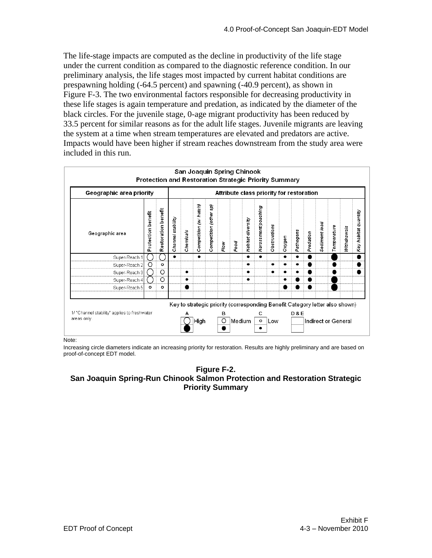The life-stage impacts are computed as the decline in productivity of the life stage under the current condition as compared to the diagnostic reference condition. In our preliminary analysis, the life stages most impacted by current habitat conditions are prespawning holding (-64.5 percent) and spawning (-40.9 percent), as shown in Figure F-3. The two environmental factors responsible for decreasing productivity in these life stages is again temperature and predation, as indicated by the diameter of the black circles. For the juvenile stage, 0-age migrant productivity has been reduced by 33.5 percent for similar reasons as for the adult life stages. Juvenile migrants are leaving the system at a time when stream temperatures are elevated and predators are active. Impacts would have been higher if stream reaches downstream from the study area were included in this run.

|                                                             | San Joaquin Spring Chinook<br><b>Protection and Restoration Strategic Priority Summary</b> |                     |                   |           |                        |                                                                              |              |        |                   |                                          |              |        |                |           |               |             |                     |                      |
|-------------------------------------------------------------|--------------------------------------------------------------------------------------------|---------------------|-------------------|-----------|------------------------|------------------------------------------------------------------------------|--------------|--------|-------------------|------------------------------------------|--------------|--------|----------------|-----------|---------------|-------------|---------------------|----------------------|
| Geographic area priority                                    |                                                                                            |                     |                   |           |                        |                                                                              |              |        |                   | Attribute class priority for restoration |              |        |                |           |               |             |                     |                      |
| Geographic area                                             | Protection benefit                                                                         | Restoration benefit | Channel stability | Chemicals | Competition (w/ hatch) | Competition (other sp)                                                       | Flow         | Food   | Habitat diversity | Harassment/poaching                      | Obstructions | Oxygen | Pathogens      | Predation | Sediment load | Temperature | Nithdrawals         | Key habitat quantity |
| Super-Reach                                                 |                                                                                            |                     |                   |           | ٠                      |                                                                              |              |        |                   |                                          |              |        |                |           |               |             |                     |                      |
| Super-Reach 2                                               | O                                                                                          | $\circ$             |                   |           |                        |                                                                              |              |        |                   |                                          |              |        |                |           |               |             |                     |                      |
| Super-Reach 3                                               |                                                                                            | O                   |                   | ٠         |                        |                                                                              |              |        | ٠                 |                                          |              |        |                |           |               |             |                     |                      |
| Super-Reach 4                                               |                                                                                            | O                   |                   | ٠         |                        |                                                                              |              |        |                   |                                          |              |        |                |           |               |             |                     |                      |
| Super-Reach 5                                               | $\circ$                                                                                    | $\circ$             |                   |           |                        |                                                                              |              |        |                   |                                          |              |        |                |           |               |             |                     |                      |
| 1/ "Channel stability" applies to freshwater<br>areas only. |                                                                                            |                     |                   | A         | High                   | Key to strategic priority (corresponding Benefit Category letter also shown) | в<br>$\circ$ | Medium |                   | с<br>$\circ$                             | Low          |        | <b>D&amp;E</b> |           |               |             | Indirect or General |                      |

Note:

Increasing circle diameters indicate an increasing priority for restoration. Results are highly preliminary and are based on proof-of-concept EDT model.

#### <span id="page-18-0"></span>**Figure F-2. San Joaquin Spring-Run Chinook Salmon Protection and Restoration Strategic Priority Summary**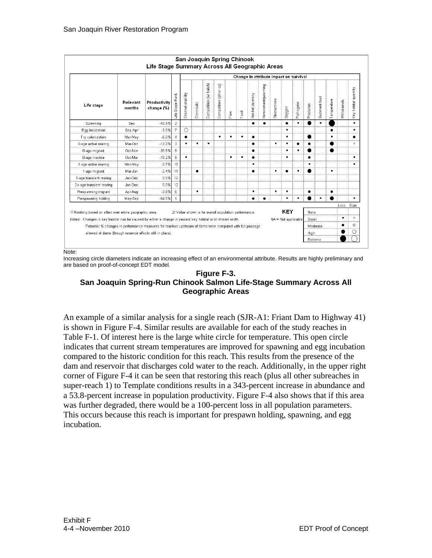| Competition (w/ hatch)<br>(other sp)<br>Harassment/poaching<br>Channel stability<br>Habitat diversity<br>Rank<br><b>D</b> bstructions<br>Competition<br>Relevant<br>Productivity<br>Pathogens<br>Stage <sup>1</sup><br>Chemicals<br>Life stage<br>Oxygen<br>months<br>change (%)<br>Food<br>Flow<br>٩Ì<br>$\overline{2}$<br>$-40.9%$<br>$\bullet$<br>Sep<br>$\bullet$<br>Spawning<br>$\bullet$<br>$\bullet$<br>$\circ$<br>$-3.0%$<br>$\overline{7}$<br>$\bullet$<br>Egg incubation<br>Sep-Apr<br>$-6.0%$<br>٠<br>٠<br>Fry colonization<br>Mar-May<br>4<br>٠<br>٠<br>3<br>$-13.0%$<br>٠<br>٠<br>$\bullet$<br>0-age active rearing<br>Mar-Oct<br>٠<br>٠<br>٠<br>8<br>$-33.5%$<br>٠<br>0-age migrant<br>Oct-Nov<br>٠<br>9<br>٠<br>$-16.2%$<br>0-age inactive<br>Oct-Mar<br>٠<br>٠<br>$\bullet$<br>$-2.7%$<br>10<br>1-age active rearing<br>Mar-May<br>$\bullet$<br>11<br>$-2.4%$<br>٠<br>1-age migrant<br>Mar-Jun<br>$\bullet$<br>٠<br>▲<br>12<br>Jan-Dec<br>0.0%<br>1-age transient rearing | Sediment load<br>Predation<br>٠ |  |  |  |  |  |  |  |    |      |         |                         |
|-------------------------------------------------------------------------------------------------------------------------------------------------------------------------------------------------------------------------------------------------------------------------------------------------------------------------------------------------------------------------------------------------------------------------------------------------------------------------------------------------------------------------------------------------------------------------------------------------------------------------------------------------------------------------------------------------------------------------------------------------------------------------------------------------------------------------------------------------------------------------------------------------------------------------------------------------------------------------------------------|---------------------------------|--|--|--|--|--|--|--|----|------|---------|-------------------------|
|                                                                                                                                                                                                                                                                                                                                                                                                                                                                                                                                                                                                                                                                                                                                                                                                                                                                                                                                                                                           |                                 |  |  |  |  |  |  |  |    |      |         |                         |
|                                                                                                                                                                                                                                                                                                                                                                                                                                                                                                                                                                                                                                                                                                                                                                                                                                                                                                                                                                                           |                                 |  |  |  |  |  |  |  |    |      |         |                         |
|                                                                                                                                                                                                                                                                                                                                                                                                                                                                                                                                                                                                                                                                                                                                                                                                                                                                                                                                                                                           |                                 |  |  |  |  |  |  |  |    |      |         |                         |
|                                                                                                                                                                                                                                                                                                                                                                                                                                                                                                                                                                                                                                                                                                                                                                                                                                                                                                                                                                                           |                                 |  |  |  |  |  |  |  |    |      |         |                         |
|                                                                                                                                                                                                                                                                                                                                                                                                                                                                                                                                                                                                                                                                                                                                                                                                                                                                                                                                                                                           | ٠                               |  |  |  |  |  |  |  |    |      |         |                         |
|                                                                                                                                                                                                                                                                                                                                                                                                                                                                                                                                                                                                                                                                                                                                                                                                                                                                                                                                                                                           |                                 |  |  |  |  |  |  |  |    |      |         |                         |
|                                                                                                                                                                                                                                                                                                                                                                                                                                                                                                                                                                                                                                                                                                                                                                                                                                                                                                                                                                                           | $\bullet$                       |  |  |  |  |  |  |  |    |      |         |                         |
|                                                                                                                                                                                                                                                                                                                                                                                                                                                                                                                                                                                                                                                                                                                                                                                                                                                                                                                                                                                           | $\bullet$                       |  |  |  |  |  |  |  |    |      |         |                         |
|                                                                                                                                                                                                                                                                                                                                                                                                                                                                                                                                                                                                                                                                                                                                                                                                                                                                                                                                                                                           |                                 |  |  |  |  |  |  |  |    |      |         |                         |
|                                                                                                                                                                                                                                                                                                                                                                                                                                                                                                                                                                                                                                                                                                                                                                                                                                                                                                                                                                                           |                                 |  |  |  |  |  |  |  |    |      |         |                         |
|                                                                                                                                                                                                                                                                                                                                                                                                                                                                                                                                                                                                                                                                                                                                                                                                                                                                                                                                                                                           |                                 |  |  |  |  |  |  |  | 12 | 0.0% | Jan-Dec | 2+age transient rearing |
| $-3.8%$<br>ĥ<br>٠<br>$\bullet$<br>٠<br>٠<br>Prespawning migrant<br>Apr-Aug                                                                                                                                                                                                                                                                                                                                                                                                                                                                                                                                                                                                                                                                                                                                                                                                                                                                                                                | ٠                               |  |  |  |  |  |  |  |    |      |         |                         |
| $-64.5%$<br>٠<br>Prespawning holding<br>May-Sep<br>$\overline{1}$                                                                                                                                                                                                                                                                                                                                                                                                                                                                                                                                                                                                                                                                                                                                                                                                                                                                                                                         |                                 |  |  |  |  |  |  |  |    |      |         |                         |
|                                                                                                                                                                                                                                                                                                                                                                                                                                                                                                                                                                                                                                                                                                                                                                                                                                                                                                                                                                                           |                                 |  |  |  |  |  |  |  |    |      |         |                         |
| KEY<br>1/ Ranking based on effect over entire geographic area.<br>2/ Value shown is for overall population performance.                                                                                                                                                                                                                                                                                                                                                                                                                                                                                                                                                                                                                                                                                                                                                                                                                                                                   | None                            |  |  |  |  |  |  |  |    |      |         |                         |
| Notes: Changes in key habitat can be caused by either a change in percent key habitat or in stream width.<br>NA = Not applicable                                                                                                                                                                                                                                                                                                                                                                                                                                                                                                                                                                                                                                                                                                                                                                                                                                                          | Small                           |  |  |  |  |  |  |  |    |      |         |                         |
| Potential % changes in performance measures for reaches upstream of dams were computed with full passage                                                                                                                                                                                                                                                                                                                                                                                                                                                                                                                                                                                                                                                                                                                                                                                                                                                                                  | Moderate                        |  |  |  |  |  |  |  |    |      |         |                         |

#### Note:

<span id="page-19-0"></span>Increasing circle diameters indicate an increasing effect of an environmental attribute. Results are highly preliminary and are based on proof-of-concept EDT model.

#### **Figure F-3. San Joaquin Spring-Run Chinook Salmon Life-Stage Summary Across All Geographic Areas**

An example of a similar analysis for a single reach (SJR-A1: Friant Dam to Highway 41) is shown in Figure F-4. Similar results are available for each of the study reaches in Table F-1. Of interest here is the large white circle for temperature. This open circle indicates that current stream temperatures are improved for spawning and egg incubation compared to the historic condition for this reach. This results from the presence of the dam and reservoir that discharges cold water to the reach. Additionally, in the upper right corner of Figure F-4 it can be seen that restoring this reach (plus all other subreaches in super-reach 1) to Template conditions results in a 343-percent increase in abundance and a 53.8-percent increase in population productivity. Figure F-4 also shows that if this area was further degraded, there would be a 100-percent loss in all population parameters. This occurs because this reach is important for prespawn holding, spawning, and egg incubation.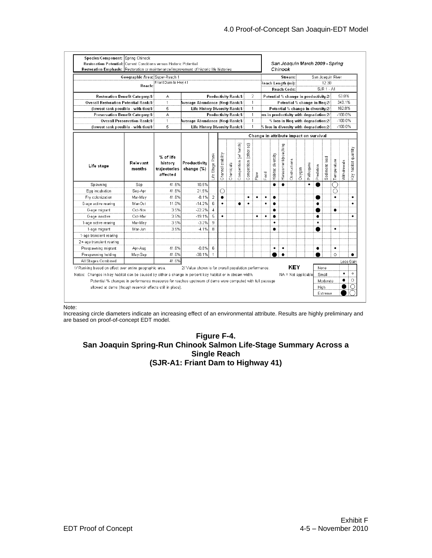| Friant Dam to Hwy 41<br>12.30<br>Reach Length (mi):<br>Reach:<br><b>SJR 1 - A1</b><br>Reach Code:<br>$\overline{a}$<br>Productivity Rank:1/<br><b>Restoration Benefit Category:1/</b><br>А<br>Potential % change in productivity:2/<br>$\mathbf{1}$<br>$\mathbf{1}$<br><b>Overall Restoration Potential Rank:1/</b><br>Average Abundance (Neg) Rank:1/<br>Potential % change in Neg:2/<br>5<br>$\mathbf{1}$<br>(lowest rank possible - with ties)1/<br>Life History Diversity Rank:1/<br>Potential % change in diversity:2/<br>A<br>Productivity Rank:1/<br>$_{\rm l}$ ss in productivity with degradation:2/<br>Preservation Benefit Category:1/<br>$\mathbf{1}$<br><b>Overall Preservation Rank:1/</b><br>Average Abundance (Neq) Rank:1/<br>$\mathbf{1}$<br>$\mathbf{1}$<br>% loss in Neq with degradation:2/<br>5<br>$-100.0%$<br>Life History Diversity Rank:1/<br>$\mathbf{1}$<br>(lowest rank possible - with ties)1/<br>$%$ loss in diversity with degradation: $2/$<br>Change in attribute impact on survival<br>Competition (w/ hatch)<br>Harassment/poaching<br>င္တာ<br>Competition (other<br>Channel stability<br>Habitat diversity<br>Rank<br>% of life<br>Sediment load<br>Obstructions<br>Temperature<br>Relevant<br>history<br>Productivity<br>Chemicals<br>Pathogens<br>Stage<br>Predation<br>Life stage<br>Oxygen<br>trajectories<br>change (%)<br>months<br>Food<br>Flow<br>affected<br>Life<br>10.5%<br>Sep<br>41.6%<br>$\bullet$<br>$\bullet$<br>$\bullet$<br>Spawning<br>41.6%<br>21.5%<br>Egg incubation<br>Sep-Apr<br>O<br>C<br>$\overline{2}$<br>$-8.1%$<br>41.6%<br>Fry colonization<br>Mar-May<br>٠<br>٠<br>٠<br>٠<br>6<br>Mar-Oct<br>11.0%<br>$-14.2%$<br>0-age active rearing<br>٠<br>٠<br>٠<br>3.5%<br>$-22.2%$<br>$\overline{4}$<br>0-age migrant<br>Oct-Nov<br>٠<br>5<br>3.5%<br>$-19.1%$<br>0-age inactive<br>Oct-Mar<br>٠<br>٠<br>٠<br>٠<br>٠<br>3.5%<br>$-3.2%$<br>9<br>1-age active rearing<br>Mar-May<br>٠<br>٠<br>3.5%<br>$-4.1%$<br>8<br>1-age migrant<br>Mar-Jun<br>$\bullet$<br>$\bullet$<br>1-age transient rearing<br>2+age transient rearing<br>41.6%<br>$-0.8%$<br>6<br>Prespawning migrant<br>Apr-Aug<br>٠<br>$\bullet$<br>$\bullet$<br>٠<br>41.6%<br>$-38.1%$<br>$\circ$<br>Prespawning holding<br>May-Sep<br>$\bullet$<br>All Stages Combined<br>41.6%<br>KEY<br>1/ Ranking based on effect over entire geographic area.<br>None<br>2/ Value shown is for overall population performance.<br>Notes: Changes in key habitat can be caused by either a change in percent key habitat or in stream width.<br>NA = Not applicable<br>Small<br>Potential % changes in performance measures for reaches upstream of dams were computed with full passage<br>Moderate | Geographic Area: Super-Reach 1 |  |  |  |  |  |  | Stream: |  |  |  |  |  |  | San Joaquin River |  |  |                               |  |             |                      |
|----------------------------------------------------------------------------------------------------------------------------------------------------------------------------------------------------------------------------------------------------------------------------------------------------------------------------------------------------------------------------------------------------------------------------------------------------------------------------------------------------------------------------------------------------------------------------------------------------------------------------------------------------------------------------------------------------------------------------------------------------------------------------------------------------------------------------------------------------------------------------------------------------------------------------------------------------------------------------------------------------------------------------------------------------------------------------------------------------------------------------------------------------------------------------------------------------------------------------------------------------------------------------------------------------------------------------------------------------------------------------------------------------------------------------------------------------------------------------------------------------------------------------------------------------------------------------------------------------------------------------------------------------------------------------------------------------------------------------------------------------------------------------------------------------------------------------------------------------------------------------------------------------------------------------------------------------------------------------------------------------------------------------------------------------------------------------------------------------------------------------------------------------------------------------------------------------------------------------------------------------------------------------------------------------------------------------------------------------------------------------------------------------------------------------------------------------------------------------------------------------------------------------------------------------------------------------------------------------------------------------------------------------------------------------------------------------------------|--------------------------------|--|--|--|--|--|--|---------|--|--|--|--|--|--|-------------------|--|--|-------------------------------|--|-------------|----------------------|
|                                                                                                                                                                                                                                                                                                                                                                                                                                                                                                                                                                                                                                                                                                                                                                                                                                                                                                                                                                                                                                                                                                                                                                                                                                                                                                                                                                                                                                                                                                                                                                                                                                                                                                                                                                                                                                                                                                                                                                                                                                                                                                                                                                                                                                                                                                                                                                                                                                                                                                                                                                                                                                                                                                                |                                |  |  |  |  |  |  |         |  |  |  |  |  |  |                   |  |  |                               |  |             |                      |
|                                                                                                                                                                                                                                                                                                                                                                                                                                                                                                                                                                                                                                                                                                                                                                                                                                                                                                                                                                                                                                                                                                                                                                                                                                                                                                                                                                                                                                                                                                                                                                                                                                                                                                                                                                                                                                                                                                                                                                                                                                                                                                                                                                                                                                                                                                                                                                                                                                                                                                                                                                                                                                                                                                                |                                |  |  |  |  |  |  |         |  |  |  |  |  |  |                   |  |  |                               |  |             |                      |
|                                                                                                                                                                                                                                                                                                                                                                                                                                                                                                                                                                                                                                                                                                                                                                                                                                                                                                                                                                                                                                                                                                                                                                                                                                                                                                                                                                                                                                                                                                                                                                                                                                                                                                                                                                                                                                                                                                                                                                                                                                                                                                                                                                                                                                                                                                                                                                                                                                                                                                                                                                                                                                                                                                                |                                |  |  |  |  |  |  |         |  |  |  |  |  |  |                   |  |  |                               |  | 53.8%       |                      |
|                                                                                                                                                                                                                                                                                                                                                                                                                                                                                                                                                                                                                                                                                                                                                                                                                                                                                                                                                                                                                                                                                                                                                                                                                                                                                                                                                                                                                                                                                                                                                                                                                                                                                                                                                                                                                                                                                                                                                                                                                                                                                                                                                                                                                                                                                                                                                                                                                                                                                                                                                                                                                                                                                                                |                                |  |  |  |  |  |  |         |  |  |  |  |  |  |                   |  |  | 343.1%<br>162.8%<br>$-100.0%$ |  |             |                      |
|                                                                                                                                                                                                                                                                                                                                                                                                                                                                                                                                                                                                                                                                                                                                                                                                                                                                                                                                                                                                                                                                                                                                                                                                                                                                                                                                                                                                                                                                                                                                                                                                                                                                                                                                                                                                                                                                                                                                                                                                                                                                                                                                                                                                                                                                                                                                                                                                                                                                                                                                                                                                                                                                                                                |                                |  |  |  |  |  |  |         |  |  |  |  |  |  |                   |  |  |                               |  |             |                      |
|                                                                                                                                                                                                                                                                                                                                                                                                                                                                                                                                                                                                                                                                                                                                                                                                                                                                                                                                                                                                                                                                                                                                                                                                                                                                                                                                                                                                                                                                                                                                                                                                                                                                                                                                                                                                                                                                                                                                                                                                                                                                                                                                                                                                                                                                                                                                                                                                                                                                                                                                                                                                                                                                                                                |                                |  |  |  |  |  |  |         |  |  |  |  |  |  |                   |  |  |                               |  |             |                      |
|                                                                                                                                                                                                                                                                                                                                                                                                                                                                                                                                                                                                                                                                                                                                                                                                                                                                                                                                                                                                                                                                                                                                                                                                                                                                                                                                                                                                                                                                                                                                                                                                                                                                                                                                                                                                                                                                                                                                                                                                                                                                                                                                                                                                                                                                                                                                                                                                                                                                                                                                                                                                                                                                                                                |                                |  |  |  |  |  |  |         |  |  |  |  |  |  |                   |  |  | $-100.0%$                     |  |             |                      |
|                                                                                                                                                                                                                                                                                                                                                                                                                                                                                                                                                                                                                                                                                                                                                                                                                                                                                                                                                                                                                                                                                                                                                                                                                                                                                                                                                                                                                                                                                                                                                                                                                                                                                                                                                                                                                                                                                                                                                                                                                                                                                                                                                                                                                                                                                                                                                                                                                                                                                                                                                                                                                                                                                                                |                                |  |  |  |  |  |  |         |  |  |  |  |  |  |                   |  |  |                               |  |             |                      |
|                                                                                                                                                                                                                                                                                                                                                                                                                                                                                                                                                                                                                                                                                                                                                                                                                                                                                                                                                                                                                                                                                                                                                                                                                                                                                                                                                                                                                                                                                                                                                                                                                                                                                                                                                                                                                                                                                                                                                                                                                                                                                                                                                                                                                                                                                                                                                                                                                                                                                                                                                                                                                                                                                                                |                                |  |  |  |  |  |  |         |  |  |  |  |  |  |                   |  |  |                               |  |             |                      |
|                                                                                                                                                                                                                                                                                                                                                                                                                                                                                                                                                                                                                                                                                                                                                                                                                                                                                                                                                                                                                                                                                                                                                                                                                                                                                                                                                                                                                                                                                                                                                                                                                                                                                                                                                                                                                                                                                                                                                                                                                                                                                                                                                                                                                                                                                                                                                                                                                                                                                                                                                                                                                                                                                                                |                                |  |  |  |  |  |  |         |  |  |  |  |  |  |                   |  |  |                               |  | Withdrawals | Key habitat quantity |
|                                                                                                                                                                                                                                                                                                                                                                                                                                                                                                                                                                                                                                                                                                                                                                                                                                                                                                                                                                                                                                                                                                                                                                                                                                                                                                                                                                                                                                                                                                                                                                                                                                                                                                                                                                                                                                                                                                                                                                                                                                                                                                                                                                                                                                                                                                                                                                                                                                                                                                                                                                                                                                                                                                                |                                |  |  |  |  |  |  |         |  |  |  |  |  |  |                   |  |  |                               |  |             |                      |
|                                                                                                                                                                                                                                                                                                                                                                                                                                                                                                                                                                                                                                                                                                                                                                                                                                                                                                                                                                                                                                                                                                                                                                                                                                                                                                                                                                                                                                                                                                                                                                                                                                                                                                                                                                                                                                                                                                                                                                                                                                                                                                                                                                                                                                                                                                                                                                                                                                                                                                                                                                                                                                                                                                                |                                |  |  |  |  |  |  |         |  |  |  |  |  |  |                   |  |  |                               |  |             |                      |
|                                                                                                                                                                                                                                                                                                                                                                                                                                                                                                                                                                                                                                                                                                                                                                                                                                                                                                                                                                                                                                                                                                                                                                                                                                                                                                                                                                                                                                                                                                                                                                                                                                                                                                                                                                                                                                                                                                                                                                                                                                                                                                                                                                                                                                                                                                                                                                                                                                                                                                                                                                                                                                                                                                                |                                |  |  |  |  |  |  |         |  |  |  |  |  |  |                   |  |  |                               |  |             | ٠                    |
|                                                                                                                                                                                                                                                                                                                                                                                                                                                                                                                                                                                                                                                                                                                                                                                                                                                                                                                                                                                                                                                                                                                                                                                                                                                                                                                                                                                                                                                                                                                                                                                                                                                                                                                                                                                                                                                                                                                                                                                                                                                                                                                                                                                                                                                                                                                                                                                                                                                                                                                                                                                                                                                                                                                |                                |  |  |  |  |  |  |         |  |  |  |  |  |  |                   |  |  |                               |  |             | ٠                    |
|                                                                                                                                                                                                                                                                                                                                                                                                                                                                                                                                                                                                                                                                                                                                                                                                                                                                                                                                                                                                                                                                                                                                                                                                                                                                                                                                                                                                                                                                                                                                                                                                                                                                                                                                                                                                                                                                                                                                                                                                                                                                                                                                                                                                                                                                                                                                                                                                                                                                                                                                                                                                                                                                                                                |                                |  |  |  |  |  |  |         |  |  |  |  |  |  |                   |  |  |                               |  |             |                      |
|                                                                                                                                                                                                                                                                                                                                                                                                                                                                                                                                                                                                                                                                                                                                                                                                                                                                                                                                                                                                                                                                                                                                                                                                                                                                                                                                                                                                                                                                                                                                                                                                                                                                                                                                                                                                                                                                                                                                                                                                                                                                                                                                                                                                                                                                                                                                                                                                                                                                                                                                                                                                                                                                                                                |                                |  |  |  |  |  |  |         |  |  |  |  |  |  |                   |  |  |                               |  |             | ٠                    |
|                                                                                                                                                                                                                                                                                                                                                                                                                                                                                                                                                                                                                                                                                                                                                                                                                                                                                                                                                                                                                                                                                                                                                                                                                                                                                                                                                                                                                                                                                                                                                                                                                                                                                                                                                                                                                                                                                                                                                                                                                                                                                                                                                                                                                                                                                                                                                                                                                                                                                                                                                                                                                                                                                                                |                                |  |  |  |  |  |  |         |  |  |  |  |  |  |                   |  |  |                               |  |             |                      |
|                                                                                                                                                                                                                                                                                                                                                                                                                                                                                                                                                                                                                                                                                                                                                                                                                                                                                                                                                                                                                                                                                                                                                                                                                                                                                                                                                                                                                                                                                                                                                                                                                                                                                                                                                                                                                                                                                                                                                                                                                                                                                                                                                                                                                                                                                                                                                                                                                                                                                                                                                                                                                                                                                                                |                                |  |  |  |  |  |  |         |  |  |  |  |  |  |                   |  |  |                               |  |             |                      |
|                                                                                                                                                                                                                                                                                                                                                                                                                                                                                                                                                                                                                                                                                                                                                                                                                                                                                                                                                                                                                                                                                                                                                                                                                                                                                                                                                                                                                                                                                                                                                                                                                                                                                                                                                                                                                                                                                                                                                                                                                                                                                                                                                                                                                                                                                                                                                                                                                                                                                                                                                                                                                                                                                                                |                                |  |  |  |  |  |  |         |  |  |  |  |  |  |                   |  |  |                               |  |             |                      |
|                                                                                                                                                                                                                                                                                                                                                                                                                                                                                                                                                                                                                                                                                                                                                                                                                                                                                                                                                                                                                                                                                                                                                                                                                                                                                                                                                                                                                                                                                                                                                                                                                                                                                                                                                                                                                                                                                                                                                                                                                                                                                                                                                                                                                                                                                                                                                                                                                                                                                                                                                                                                                                                                                                                |                                |  |  |  |  |  |  |         |  |  |  |  |  |  |                   |  |  |                               |  |             |                      |
|                                                                                                                                                                                                                                                                                                                                                                                                                                                                                                                                                                                                                                                                                                                                                                                                                                                                                                                                                                                                                                                                                                                                                                                                                                                                                                                                                                                                                                                                                                                                                                                                                                                                                                                                                                                                                                                                                                                                                                                                                                                                                                                                                                                                                                                                                                                                                                                                                                                                                                                                                                                                                                                                                                                |                                |  |  |  |  |  |  |         |  |  |  |  |  |  |                   |  |  |                               |  |             |                      |
|                                                                                                                                                                                                                                                                                                                                                                                                                                                                                                                                                                                                                                                                                                                                                                                                                                                                                                                                                                                                                                                                                                                                                                                                                                                                                                                                                                                                                                                                                                                                                                                                                                                                                                                                                                                                                                                                                                                                                                                                                                                                                                                                                                                                                                                                                                                                                                                                                                                                                                                                                                                                                                                                                                                |                                |  |  |  |  |  |  |         |  |  |  |  |  |  |                   |  |  |                               |  |             |                      |
|                                                                                                                                                                                                                                                                                                                                                                                                                                                                                                                                                                                                                                                                                                                                                                                                                                                                                                                                                                                                                                                                                                                                                                                                                                                                                                                                                                                                                                                                                                                                                                                                                                                                                                                                                                                                                                                                                                                                                                                                                                                                                                                                                                                                                                                                                                                                                                                                                                                                                                                                                                                                                                                                                                                |                                |  |  |  |  |  |  |         |  |  |  |  |  |  |                   |  |  |                               |  | Loss Gain   |                      |
|                                                                                                                                                                                                                                                                                                                                                                                                                                                                                                                                                                                                                                                                                                                                                                                                                                                                                                                                                                                                                                                                                                                                                                                                                                                                                                                                                                                                                                                                                                                                                                                                                                                                                                                                                                                                                                                                                                                                                                                                                                                                                                                                                                                                                                                                                                                                                                                                                                                                                                                                                                                                                                                                                                                |                                |  |  |  |  |  |  |         |  |  |  |  |  |  |                   |  |  |                               |  |             |                      |
|                                                                                                                                                                                                                                                                                                                                                                                                                                                                                                                                                                                                                                                                                                                                                                                                                                                                                                                                                                                                                                                                                                                                                                                                                                                                                                                                                                                                                                                                                                                                                                                                                                                                                                                                                                                                                                                                                                                                                                                                                                                                                                                                                                                                                                                                                                                                                                                                                                                                                                                                                                                                                                                                                                                |                                |  |  |  |  |  |  |         |  |  |  |  |  |  |                   |  |  |                               |  | ٠           | $\circ$              |
|                                                                                                                                                                                                                                                                                                                                                                                                                                                                                                                                                                                                                                                                                                                                                                                                                                                                                                                                                                                                                                                                                                                                                                                                                                                                                                                                                                                                                                                                                                                                                                                                                                                                                                                                                                                                                                                                                                                                                                                                                                                                                                                                                                                                                                                                                                                                                                                                                                                                                                                                                                                                                                                                                                                |                                |  |  |  |  |  |  |         |  |  |  |  |  |  |                   |  |  |                               |  |             | $\circ$              |
| allowed at dams (though reservoir effects still in place).<br>High                                                                                                                                                                                                                                                                                                                                                                                                                                                                                                                                                                                                                                                                                                                                                                                                                                                                                                                                                                                                                                                                                                                                                                                                                                                                                                                                                                                                                                                                                                                                                                                                                                                                                                                                                                                                                                                                                                                                                                                                                                                                                                                                                                                                                                                                                                                                                                                                                                                                                                                                                                                                                                             |                                |  |  |  |  |  |  |         |  |  |  |  |  |  |                   |  |  |                               |  |             |                      |

Note:

Increasing circle diameters indicate an increasing effect of an environmental attribute. Results are highly preliminary and are based on proof-of-concept EDT model.

#### <span id="page-20-0"></span>**Figure F-4. San Joaquin Spring-Run Chinook Salmon Life-Stage Summary Across a Single Reach (SJR-A1: Friant Dam to Highway 41)**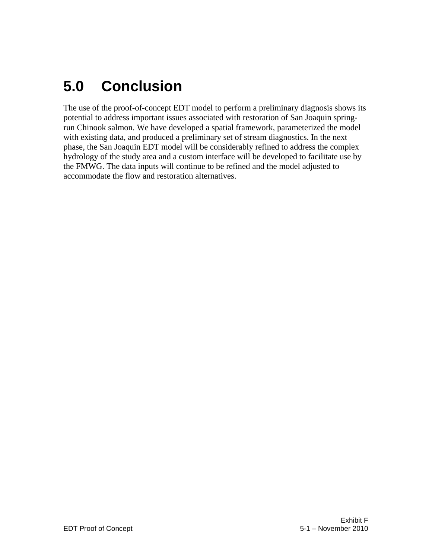# <span id="page-22-0"></span>**5.0 Conclusion**

The use of the proof-of-concept EDT model to perform a preliminary diagnosis shows its potential to address important issues associated with restoration of San Joaquin springrun Chinook salmon. We have developed a spatial framework, parameterized the model with existing data, and produced a preliminary set of stream diagnostics. In the next phase, the San Joaquin EDT model will be considerably refined to address the complex hydrology of the study area and a custom interface will be developed to facilitate use by the FMWG. The data inputs will continue to be refined and the model adjusted to accommodate the flow and restoration alternatives.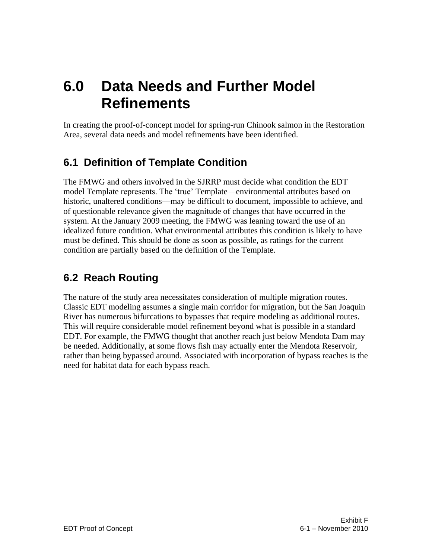## <span id="page-24-0"></span>**6.0 Data Needs and Further Model Refinements**

In creating the proof-of-concept model for spring-run Chinook salmon in the Restoration Area, several data needs and model refinements have been identified.

## <span id="page-24-1"></span>**6.1 Definition of Template Condition**

The FMWG and others involved in the SJRRP must decide what condition the EDT model Template represents. The "true" Template—environmental attributes based on historic, unaltered conditions—may be difficult to document, impossible to achieve, and of questionable relevance given the magnitude of changes that have occurred in the system. At the January 2009 meeting, the FMWG was leaning toward the use of an idealized future condition. What environmental attributes this condition is likely to have must be defined. This should be done as soon as possible, as ratings for the current condition are partially based on the definition of the Template.

## <span id="page-24-2"></span>**6.2 Reach Routing**

The nature of the study area necessitates consideration of multiple migration routes. Classic EDT modeling assumes a single main corridor for migration, but the San Joaquin River has numerous bifurcations to bypasses that require modeling as additional routes. This will require considerable model refinement beyond what is possible in a standard EDT. For example, the FMWG thought that another reach just below Mendota Dam may be needed. Additionally, at some flows fish may actually enter the Mendota Reservoir, rather than being bypassed around. Associated with incorporation of bypass reaches is the need for habitat data for each bypass reach.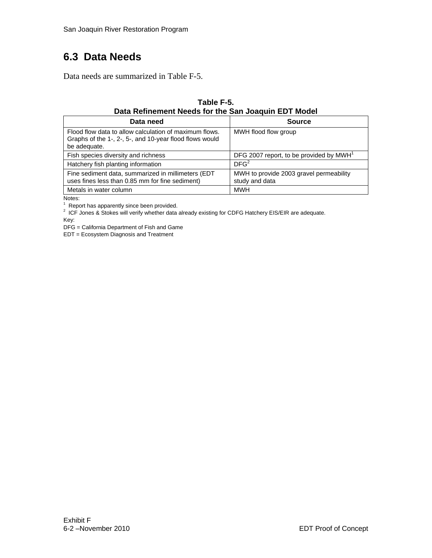### <span id="page-25-0"></span>**6.3 Data Needs**

<span id="page-25-1"></span>Data needs are summarized in Table F-5.

#### **Table F-5. Data Refinement Needs for the San Joaquin EDT Model**

| Data need                                                                                                                         | <b>Source</b>                                             |
|-----------------------------------------------------------------------------------------------------------------------------------|-----------------------------------------------------------|
| Flood flow data to allow calculation of maximum flows.<br>Graphs of the 1-, 2-, 5-, and 10-year flood flows would<br>be adequate. | MWH flood flow group                                      |
| Fish species diversity and richness                                                                                               | DFG 2007 report, to be provided by MWH <sup>1</sup>       |
| Hatchery fish planting information                                                                                                | DFG <sup>2</sup>                                          |
| Fine sediment data, summarized in millimeters (EDT<br>uses fines less than 0.85 mm for fine sediment)                             | MWH to provide 2003 gravel permeability<br>study and data |
| Metals in water column                                                                                                            | <b>MWH</b>                                                |

Notes:

 $1$  Report has apparently since been provided.

<sup>2</sup> ICF Jones & Stokes will verify whether data already existing for CDFG Hatchery EIS/EIR are adequate.

Key:

DFG = California Department of Fish and Game

EDT = Ecosystem Diagnosis and Treatment